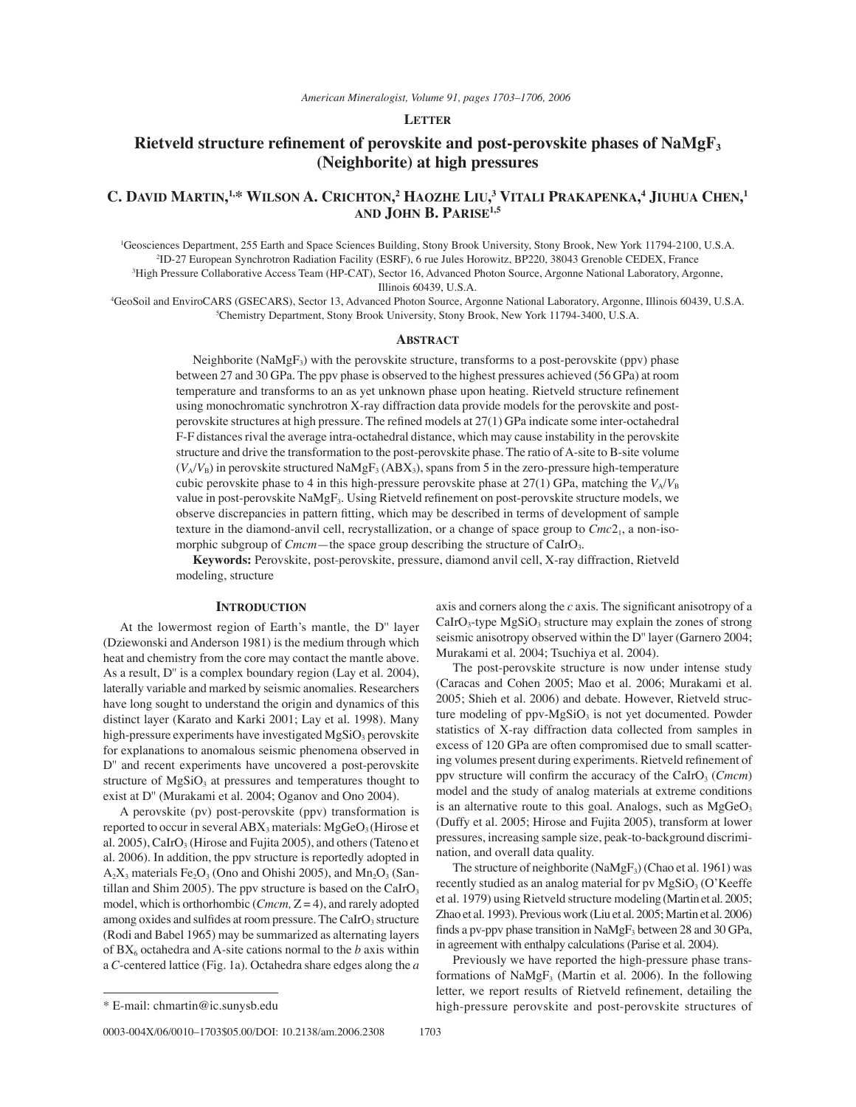## **LETTER**

# **Rietveld structure refinement of perovskite and post-perovskite phases of NaMgF<sub>3</sub> (Neighborite) at high pressures**

## **C. DAVID MARTIN, 1,\* WILSON A. CRICHTON, 2 HAOZHE LIU, 3 VITALI PRAKAPENKA, 4 JIUHUA CHEN, 1 AND JOHN B. PARISE1,5**

1 Geosciences Department, 255 Earth and Space Sciences Building, Stony Brook University, Stony Brook, New York 11794-2100, U.S.A. 2 ID-27 European Synchrotron Radiation Facility (ESRF), 6 rue Jules Horowitz, BP220, 38043 Grenoble CEDEX, France 3 High Pressure Collaborative Access Team (HP-CAT), Sector 16, Advanced Photon Source, Argonne National Laboratory, Argonne,

Illinois 60439, U.S.A.

4 GeoSoil and EnviroCARS (GSECARS), Sector 13, Advanced Photon Source, Argonne National Laboratory, Argonne, Illinois 60439, U.S.A. 5 Chemistry Department, Stony Brook University, Stony Brook, New York 11794-3400, U.S.A.

#### **ABSTRACT**

Neighborite ( $NaMgF_3$ ) with the perovskite structure, transforms to a post-perovskite (ppv) phase between 27 and 30 GPa. The ppv phase is observed to the highest pressures achieved (56 GPa) at room temperature and transforms to an as yet unknown phase upon heating. Rietveld structure refinement using monochromatic synchrotron X-ray diffraction data provide models for the perovskite and postperovskite structures at high pressure. The refined models at 27(1) GPa indicate some inter-octahedral F-F distances rival the average intra-octahedral distance, which may cause instability in the perovskite structure and drive the transformation to the post-perovskite phase. The ratio of A-site to B-site volume  $(V_A/V_B)$  in perovskite structured NaMgF<sub>3</sub> (ABX<sub>3</sub>), spans from 5 in the zero-pressure high-temperature cubic perovskite phase to 4 in this high-pressure perovskite phase at 27(1) GPa, matching the  $V_A/V_B$ value in post-perovskite NaMgF<sub>3</sub>. Using Rietveld refinement on post-perovskite structure models, we observe discrepancies in pattern fitting, which may be described in terms of development of sample texture in the diamond-anvil cell, recrystallization, or a change of space group to  $Cmc2<sub>1</sub>$ , a non-isomorphic subgroup of *Cmcm*—the space group describing the structure of CaIrO<sub>3</sub>.

**Keywords:** Perovskite, post-perovskite, pressure, diamond anvil cell, X-ray diffraction, Rietveld modeling, structure

### **INTRODUCTION**

At the lowermost region of Earth's mantle, the D" layer (Dziewonski and Anderson 1981) is the medium through which heat and chemistry from the core may contact the mantle above. As a result, D'' is a complex boundary region (Lay et al. 2004), laterally variable and marked by seismic anomalies. Researchers have long sought to understand the origin and dynamics of this distinct layer (Karato and Karki 2001; Lay et al. 1998). Many high-pressure experiments have investigated  $MgSiO<sub>3</sub>$  perovskite for explanations to anomalous seismic phenomena observed in D'' and recent experiments have uncovered a post-perovskite structure of  $MgSiO<sub>3</sub>$  at pressures and temperatures thought to exist at D'' (Murakami et al. 2004; Oganov and Ono 2004).

A perovskite (pv) post-perovskite (ppv) transformation is reported to occur in several  $ABX_3$  materials:  $MgGeO_3$  (Hirose et al. 2005), CaIrO<sub>3</sub> (Hirose and Fujita 2005), and others (Tateno et al. 2006). In addition, the ppv structure is reportedly adopted in  $A_2X_3$  materials Fe<sub>2</sub>O<sub>3</sub> (Ono and Ohishi 2005), and  $Mn_2O_3$  (Santillan and Shim 2005). The ppv structure is based on the CaIrO<sub>3</sub> model, which is orthorhombic (*Cmcm,* Z = 4), and rarely adopted among oxides and sulfides at room pressure. The CaIrO<sub>3</sub> structure (Rodi and Babel 1965) may be summarized as alternating layers of  $BX_6$  octahedra and A-site cations normal to the  $b$  axis within a *C*-centered lattice (Fig. 1a). Octahedra share edges along the *a* axis and corners along the  $c$  axis. The significant anisotropy of a  $Calro<sub>3</sub>$ -type  $MgSiO<sub>3</sub>$  structure may explain the zones of strong seismic anisotropy observed within the D'' layer (Garnero 2004; Murakami et al. 2004; Tsuchiya et al. 2004).

The post-perovskite structure is now under intense study (Caracas and Cohen 2005; Mao et al. 2006; Murakami et al. 2005; Shieh et al. 2006) and debate. However, Rietveld structure modeling of  $ppv-MgSiO<sub>3</sub>$  is not yet documented. Powder statistics of X-ray diffraction data collected from samples in excess of 120 GPa are often compromised due to small scattering volumes present during experiments. Rietveld refinement of ppv structure will confirm the accuracy of the CaIrO<sub>3</sub> (*Cmcm*) model and the study of analog materials at extreme conditions is an alternative route to this goal. Analogs, such as  $MgGeO<sub>3</sub>$ (Duffy et al. 2005; Hirose and Fujita 2005), transform at lower pressures, increasing sample size, peak-to-background discrimination, and overall data quality.

The structure of neighborite ( $NaMgF_3$ ) (Chao et al. 1961) was recently studied as an analog material for pv  $MgSiO<sub>3</sub>$  (O'Keeffe et al. 1979) using Rietveld structure modeling (Martin et al. 2005; Zhao et al. 1993). Previous work (Liu et al. 2005; Martin et al. 2006) finds a pv-ppv phase transition in  $NaMgF_3$  between 28 and 30 GPa, in agreement with enthalpy calculations (Parise et al. 2004).

Previously we have reported the high-pressure phase transformations of  $NaMgF_3$  (Martin et al. 2006). In the following letter, we report results of Rietveld refinement, detailing the \* E-mail: chmartin@ic.sunysb.edu high-pressure perovskite and post-perovskite structures of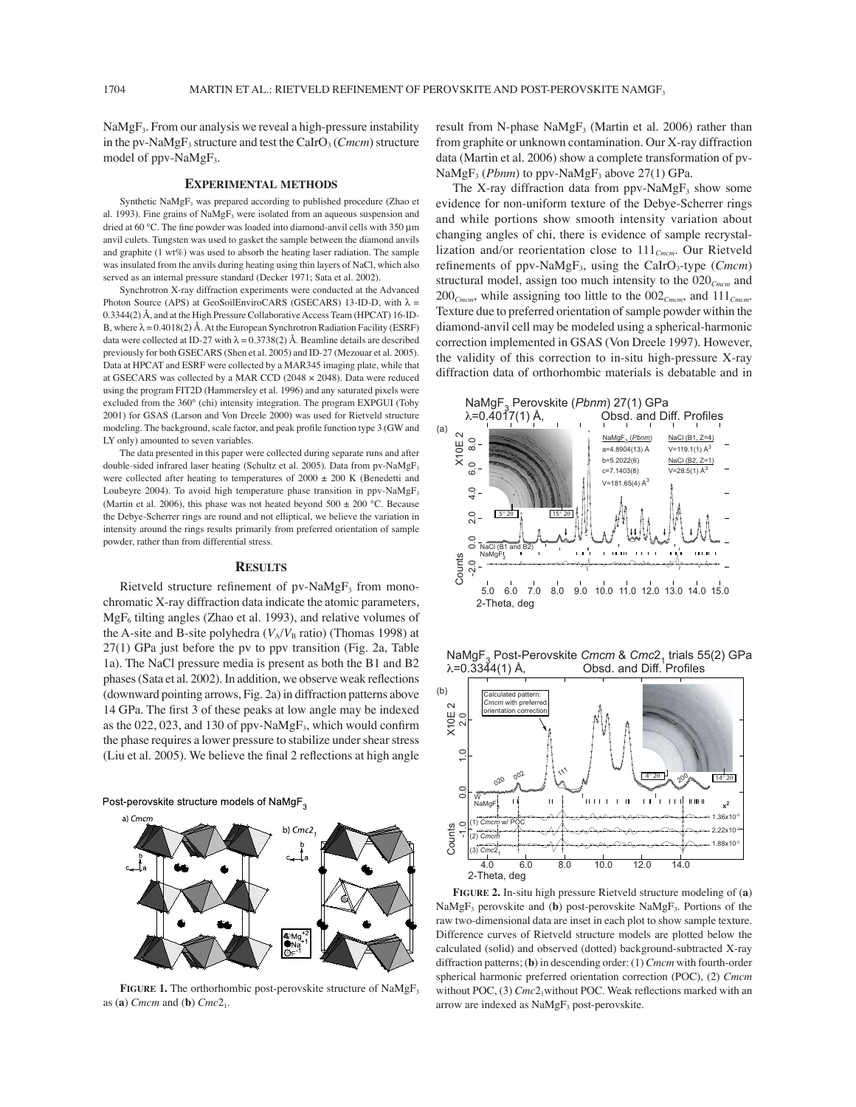$NaMgF<sub>3</sub>$ . From our analysis we reveal a high-pressure instability in the pv-NaMgF<sub>3</sub> structure and test the CaIrO<sub>3</sub> (*Cmcm*) structure model of ppv-NaMgF<sub>3</sub>.

#### **EXPERIMENTAL METHODS**

Synthetic NaMgF<sub>3</sub> was prepared according to published procedure (Zhao et al. 1993). Fine grains of  $NaMgF_3$  were isolated from an aqueous suspension and dried at 60 °C. The fine powder was loaded into diamond-anvil cells with 350 μm anvil culets. Tungsten was used to gasket the sample between the diamond anvils and graphite (1 wt%) was used to absorb the heating laser radiation. The sample was insulated from the anvils during heating using thin layers of NaCl, which also served as an internal pressure standard (Decker 1971; Sata et al. 2002).

Synchrotron X-ray diffraction experiments were conducted at the Advanced Photon Source (APS) at GeoSoilEnviroCARS (GSECARS) 13-ID-D, with  $\lambda =$ 0.3344(2) Å, and at the High Pressure Collaborative Access Team (HPCAT) 16-ID-B, where  $\lambda = 0.4018(2)$  Å. At the European Synchrotron Radiation Facility (ESRF) data were collected at ID-27 with  $\lambda = 0.3738(2)$  Å. Beamline details are described previously for both GSECARS (Shen et al. 2005) and ID-27 (Mezouar et al. 2005). Data at HPCAT and ESRF were collected by a MAR345 imaging plate, while that at GSECARS was collected by a MAR CCD (2048 × 2048). Data were reduced using the program FIT2D (Hammersley et al. 1996) and any saturated pixels were excluded from the 360° (chi) intensity integration. The program EXPGUI (Toby 2001) for GSAS (Larson and Von Dreele 2000) was used for Rietveld structure modeling. The background, scale factor, and peak profile function type 3 (GW and LY only) amounted to seven variables.

The data presented in this paper were collected during separate runs and after double-sided infrared laser heating (Schultz et al. 2005). Data from pv-NaMgF<sub>3</sub> were collected after heating to temperatures of 2000  $\pm$  200 K (Benedetti and Loubeyre 2004). To avoid high temperature phase transition in ppv-NaMgF<sub>3</sub> (Martin et al. 2006), this phase was not heated beyond  $500 \pm 200$  °C. Because the Debye-Scherrer rings are round and not elliptical, we believe the variation in intensity around the rings results primarily from preferred orientation of sample powder, rather than from differential stress.

#### **RESULTS**

Rietveld structure refinement of  $pv\text{-}NaMgF_3$  from monochromatic X-ray diffraction data indicate the atomic parameters,  $MgF_6$  tilting angles (Zhao et al. 1993), and relative volumes of the A-site and B-site polyhedra  $(V_A/V_B \text{ ratio})$  (Thomas 1998) at 27(1) GPa just before the pv to ppv transition (Fig. 2a, Table 1a). The NaCl pressure media is present as both the B1 and B2 phases (Sata et al. 2002). In addition, we observe weak reflections (downward pointing arrows, Fig. 2a) in diffraction patterns above 14 GPa. The first 3 of these peaks at low angle may be indexed as the 022, 023, and 130 of ppv-NaMg $F_3$ , which would confirm the phase requires a lower pressure to stabilize under shear stress (Liu et al. 2005). We believe the final 2 reflections at high angle

Post-perovskite structure models of NaMgF<sub>3</sub>



**FIGURE 1.** The orthorhombic post-perovskite structure of NaMgF<sub>3</sub> as (**a**) *Cmcm* and (**b**) *Cmc*21.

result from N-phase  $NaMgF_3$  (Martin et al. 2006) rather than from graphite or unknown contamination. Our X-ray diffraction data (Martin et al. 2006) show a complete transformation of pv- $NaMgF_3$  (*Pbnm*) to ppv-NaMgF<sub>3</sub> above 27(1) GPa.

The X-ray diffraction data from ppv-NaMg $F_3$  show some evidence for non-uniform texture of the Debye-Scherrer rings and while portions show smooth intensity variation about changing angles of chi, there is evidence of sample recrystallization and/or reorientation close to 111*Cmcm*. Our Rietveld refinements of ppv-NaMgF<sub>3</sub>, using the CaIrO<sub>3</sub>-type (*Cmcm*) structural model, assign too much intensity to the 020*Cmcm* and 200*Cmcm*, while assigning too little to the 002*Cmcm*, and 111*Cmcm*. Texture due to preferred orientation of sample powder within the diamond-anvil cell may be modeled using a spherical-harmonic correction implemented in GSAS (Von Dreele 1997). However, the validity of this correction to in-situ high-pressure X-ray diffraction data of orthorhombic materials is debatable and in



 $\lambda = 0.3344(1)$  Å,  $\lambda = 0.3344(1)$  Å,  $\lambda = 0.3344(1)$ NaMgF<sub>3</sub> Post-Perovskite *Cmcm* & Cmc2<sub>1</sub> trials 55(2) GPa



**FIGURE 2.** In-situ high pressure Rietveld structure modeling of (**a**) NaMgF<sub>3</sub> perovskite and (b) post-perovskite NaMgF<sub>3</sub>. Portions of the raw two-dimensional data are inset in each plot to show sample texture. Difference curves of Rietveld structure models are plotted below the calculated (solid) and observed (dotted) background-subtracted X-ray diffraction patterns; (**b**) in descending order: (1) *Cmcm* with fourth-order spherical harmonic preferred orientation correction (POC), (2) *Cmcm*  without POC, (3) *Cmc*2<sub>1</sub>without POC. Weak reflections marked with an arrow are indexed as NaMgF<sub>3</sub> post-perovskite.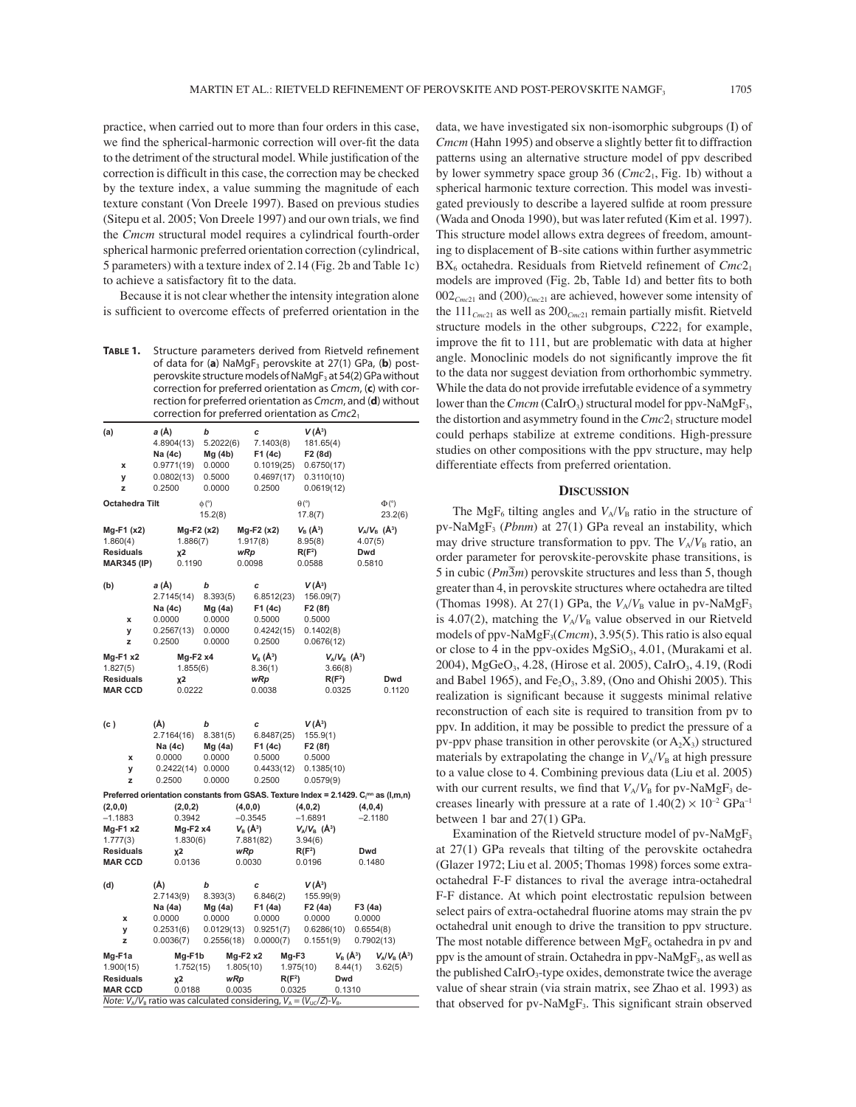practice, when carried out to more than four orders in this case, we find the spherical-harmonic correction will over-fit the data to the detriment of the structural model. While justification of the correction is difficult in this case, the correction may be checked by the texture index, a value summing the magnitude of each texture constant (Von Dreele 1997). Based on previous studies (Sitepu et al. 2005; Von Dreele 1997) and our own trials, we find the *Cmcm* structural model requires a cylindrical fourth-order spherical harmonic preferred orientation correction (cylindrical, 5 parameters) with a texture index of 2.14 (Fig. 2b and Table 1c) to achieve a satisfactory fit to the data.

Because it is not clear whether the intensity integration alone is sufficient to overcome effects of preferred orientation in the

**TABLE 1.** Structure parameters derived from Rietveld refinement of data for (a) NaMgF<sub>3</sub> perovskite at 27(1) GPa, (b) postperovskite structure models of NaMgF<sub>3</sub> at 54(2) GPa without correction for preferred orientation as Cmcm, (**c**) with correction for preferred orientation as Cmcm, and (**d**) without correction for preferred orientation as  $Cmc2<sub>1</sub>$ 

| (a)<br>X<br>У<br>z                                                                   | a (Å)<br>4.8904(13)<br>Na (4c)<br>0.9771(19)<br>0.0802(13)<br>0.2500 | b<br>5.2022(6)<br>Mg(4b)<br>0.0000<br>0.5000<br>0.0000        | c<br>7.1403(8)<br>F1 (4c)<br>0.1019(25)<br>0.4697(17)<br>0.2500          | $V(\AA^3)$<br>181.65(4)<br>F <sub>2</sub> (8d)<br>0.6750(17)<br>0.3110(10)<br>0.0619(12)                                                                                               |                                                          |
|--------------------------------------------------------------------------------------|----------------------------------------------------------------------|---------------------------------------------------------------|--------------------------------------------------------------------------|----------------------------------------------------------------------------------------------------------------------------------------------------------------------------------------|----------------------------------------------------------|
| Octahedra Tilt                                                                       |                                                                      | $\phi$ (°)<br>15.2(8)                                         |                                                                          | $\theta$ (°)<br>17.8(7)                                                                                                                                                                | $\Phi$ <sup>(°)</sup><br>23.2(6)                         |
| Mg-F1 (x2)<br>1.860(4)<br><b>Residuals</b><br><b>MAR345 (IP)</b>                     | $Mg-F2(x2)$<br>1.886(7)<br><b>χ2</b><br>0.1190                       |                                                               | $Mg-F2(x2)$<br>1.917(8)<br>wRp<br>0.0098                                 | $V_{\rm B}(\rm{\AA}^3)$<br>8.95(8)<br>$R(F^2)$<br>0.0588                                                                                                                               | $V_A/V_B$ (Å <sup>3</sup> )<br>4.07(5)<br>Dwd<br>0.5810  |
| (b)<br>x<br>У<br>z                                                                   | a (Å)<br>2.7145(14)<br>Na (4c)<br>0.0000<br>0.2567(13)<br>0.2500     | b<br>8.393(5)<br>Mg (4a)<br>0.0000<br>0.0000<br>0.0000        | c<br>6.8512(23)<br>F1 (4c)<br>0.5000<br>0.4242(15)<br>0.2500             | V (Å <sup>3</sup> )<br>156.09(7)<br>F <sub>2</sub> (8f)<br>0.5000<br>0.1402(8)<br>0.0676(12)                                                                                           |                                                          |
| Mg-F1 x2<br>1.827(5)<br><b>Residuals</b><br><b>MAR CCD</b>                           | $Mg-F2x4$<br>1.855(6)<br><b>χ2</b><br>0.0222                         |                                                               | $V_{B}(\AA^{3})$<br>8.36(1)<br>wRp<br>0.0038                             | $V_A/V_B$ (A <sup>3</sup> )<br>3.66(8)<br>$R(F^2)$<br>0.0325                                                                                                                           | Dwd<br>0.1120                                            |
| (c )<br>x<br>y<br>z                                                                  | (Å)<br>2.7164(16)<br>Na (4c)<br>0.0000<br>0.2422(14)<br>0.2500       | b<br>8.381(5)<br>Mg (4a)<br>0.0000<br>0.0000<br>0.0000        | c<br>6.8487(25)<br>F1 (4c)<br>0.5000<br>0.4433(12)<br>0.2500             | V (Å <sup>3</sup> )<br>155.9(1)<br>F <sub>2</sub> (8f)<br>0.5000<br>0.1385(10)<br>0.0579(9)                                                                                            |                                                          |
| (2,0,0)<br>$-1.1883$<br>$Mg-F1 x2$<br>1.777(3)<br><b>Residuals</b><br><b>MAR CCD</b> | (2,0,2)<br>0.3942<br>Mg-F2 x4<br>1.830(6)<br>χ2<br>0.0136            |                                                               | (4,0,0)<br>$-0.3545$<br>$V_{\rm B}(\AA^3)$<br>7.881(82)<br>wRp<br>0.0030 | Preferred orientation constants from GSAS. Texture Index = 2.1429. C <sub>[mn</sub> as (I,m,n)<br>(4,0,2)<br>$-1.6891$<br>$V_A/V_B$ (Å <sup>3</sup> )<br>3.94(6)<br>$R(F^2)$<br>0.0196 | (4,0,4)<br>$-2.1180$<br>Dwd<br>0.1480                    |
| (d)<br>x<br>У<br>z                                                                   | (Å)<br>2.7143(9)<br>Na (4a)<br>0.0000<br>0.2531(6)<br>0.0036(7)      | b<br>8.393(3)<br>Mg(4a)<br>0.0000<br>0.0129(13)<br>0.2556(18) | C<br>6.846(2)<br>F1 (4a)<br>0.0000<br>0.9251(7)<br>0.0000(7)             | V (Å <sup>3</sup> )<br>155.99(9)<br>F <sub>2</sub> (4a)<br>0.0000<br>0.6286(10)<br>0.1551(9)                                                                                           | F3 (4a)<br>0.0000<br>0.6554(8)<br>0.7902(13)             |
| Mg-F1a<br>1.900(15)<br><b>Residuals</b><br><b>MAR CCD</b>                            | Mg-F1b<br>1.752(15)<br>χ2<br>0.0188                                  |                                                               | $Mg-F2x2$<br>1.805(10)<br>wRp<br>0.0035                                  | Mg-F3<br>1.975(10)<br>$R(F^2)$<br>Dwd<br>0.0325<br>0.1310<br>Note: $V_A/V_B$ ratio was calculated considering, $V_A = (V_{UC}/Z) - V_B$ .                                              | $V_{B}(\AA^{3})$<br>$V_A/V_B(A^3)$<br>8.44(1)<br>3.62(5) |

data, we have investigated six non-isomorphic subgroups (I) of *Cmcm* (Hahn 1995) and observe a slightly better fit to diffraction patterns using an alternative structure model of ppv described by lower symmetry space group 36 (*Cmc*21, Fig. 1b) without a spherical harmonic texture correction. This model was investigated previously to describe a layered sulfide at room pressure (Wada and Onoda 1990), but was later refuted (Kim et al. 1997). This structure model allows extra degrees of freedom, amounting to displacement of B-site cations within further asymmetric BX<sub>6</sub> octahedra. Residuals from Rietveld refinement of *Cmc*2<sub>1</sub> models are improved (Fig. 2b, Table 1d) and better fits to both 002*Cmc*21 and (200)*Cmc*21 are achieved, however some intensity of the  $111_{Cmc21}$  as well as  $200_{Cmc21}$  remain partially misfit. Rietveld structure models in the other subgroups,  $C222<sub>1</sub>$  for example, improve the fit to 111, but are problematic with data at higher angle. Monoclinic models do not significantly improve the fit to the data nor suggest deviation from orthorhombic symmetry. While the data do not provide irrefutable evidence of a symmetry lower than the *Cmcm* (CaIrO<sub>3</sub>) structural model for ppv-NaMgF<sub>3</sub>, the distortion and asymmetry found in the  $Cmc2<sub>1</sub>$  structure model could perhaps stabilize at extreme conditions. High-pressure studies on other compositions with the ppv structure, may help differentiate effects from preferred orientation.

## **DISCUSSION**

The MgF<sub>6</sub> tilting angles and  $V_A/V_B$  ratio in the structure of pv-NaMgF3 (*Pbnm*) at 27(1) GPa reveal an instability, which may drive structure transformation to ppv. The  $V_A/V_B$  ratio, an order parameter for perovskite-perovskite phase transitions, is  $5$  in cubic  $(Pm\overline{3}m)$  perovskite structures and less than 5, though greater than 4, in perovskite structures where octahedra are tilted (Thomas 1998). At 27(1) GPa, the  $V_A/V_B$  value in pv-NaMgF<sub>3</sub> is 4.07(2), matching the  $V_A/V_B$  value observed in our Rietveld models of ppv-NaMgF<sub>3</sub>(*Cmcm*), 3.95(5). This ratio is also equal or close to 4 in the ppv-oxides  $MgSiO<sub>3</sub>$ , 4.01, (Murakami et al. 2004), MgGeO<sub>3</sub>, 4.28, (Hirose et al. 2005), CaIrO<sub>3</sub>, 4.19, (Rodi and Babel 1965), and  $Fe<sub>2</sub>O<sub>3</sub>$ , 3.89, (Ono and Ohishi 2005). This realization is significant because it suggests minimal relative reconstruction of each site is required to transition from pv to ppv. In addition, it may be possible to predict the pressure of a pv-ppv phase transition in other perovskite (or  $A_2X_3$ ) structured materials by extrapolating the change in  $V_A/V_B$  at high pressure to a value close to 4. Combining previous data (Liu et al. 2005) with our current results, we find that  $V_A/V_B$  for pv-NaMgF<sub>3</sub> decreases linearly with pressure at a rate of  $1.40(2) \times 10^{-2}$  GPa<sup>-1</sup> between 1 bar and 27(1) GPa.

Examination of the Rietveld structure model of pv-NaMgF<sub>3</sub> at 27(1) GPa reveals that tilting of the perovskite octahedra (Glazer 1972; Liu et al. 2005; Thomas 1998) forces some extraoctahedral F-F distances to rival the average intra-octahedral F-F distance. At which point electrostatic repulsion between select pairs of extra-octahedral fluorine atoms may strain the pv octahedral unit enough to drive the transition to ppv structure. The most notable difference between  $MgF_6$  octahedra in pv and ppv is the amount of strain. Octahedra in ppv-NaMg $F_3$ , as well as the published  $CaIrO<sub>3</sub>$ -type oxides, demonstrate twice the average value of shear strain (via strain matrix, see Zhao et al. 1993) as that observed for pv-NaMg $F_3$ . This significant strain observed